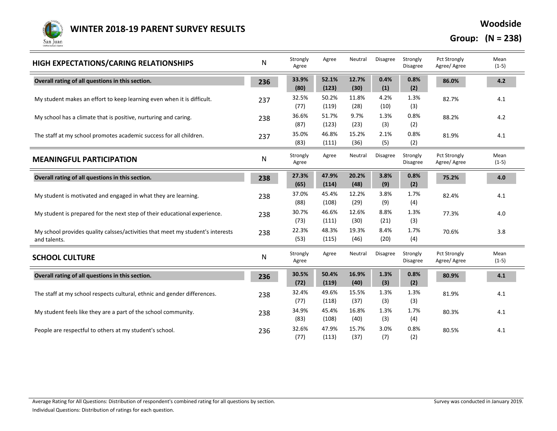

**Woodside**

**Group: (N = 238)**

| HIGH EXPECTATIONS/CARING RELATIONSHIPS                                                         | ${\sf N}$ | Strongly<br>Agree | Agree          | Neutral       | <b>Disagree</b> | Strongly<br>Disagree | Pct Strongly<br>Agree/Agree         | Mean<br>$(1-5)$ |
|------------------------------------------------------------------------------------------------|-----------|-------------------|----------------|---------------|-----------------|----------------------|-------------------------------------|-----------------|
| Overall rating of all questions in this section.                                               | 236       | 33.9%<br>(80)     | 52.1%<br>(123) | 12.7%<br>(30) | 0.4%<br>(1)     | 0.8%<br>(2)          | 86.0%                               | 4.2             |
| My student makes an effort to keep learning even when it is difficult.                         | 237       | 32.5%<br>(77)     | 50.2%<br>(119) | 11.8%<br>(28) | 4.2%<br>(10)    | 1.3%<br>(3)          | 82.7%                               | 4.1             |
| My school has a climate that is positive, nurturing and caring.                                | 238       | 36.6%<br>(87)     | 51.7%<br>(123) | 9.7%<br>(23)  | 1.3%<br>(3)     | 0.8%<br>(2)          | 88.2%                               | 4.2             |
| The staff at my school promotes academic success for all children.                             | 237       | 35.0%<br>(83)     | 46.8%<br>(111) | 15.2%<br>(36) | 2.1%<br>(5)     | 0.8%<br>(2)          | 81.9%                               | 4.1             |
| <b>MEANINGFUL PARTICIPATION</b>                                                                | ${\sf N}$ | Strongly<br>Agree | Agree          | Neutral       | <b>Disagree</b> | Strongly<br>Disagree | <b>Pct Strongly</b><br>Agree/Agree  | Mean<br>$(1-5)$ |
| Overall rating of all questions in this section.                                               | 238       | 27.3%<br>(65)     | 47.9%<br>(114) | 20.2%<br>(48) | 3.8%<br>(9)     | 0.8%<br>(2)          | 75.2%                               | $4.0\,$         |
| My student is motivated and engaged in what they are learning.                                 | 238       | 37.0%<br>(88)     | 45.4%<br>(108) | 12.2%<br>(29) | 3.8%<br>(9)     | 1.7%<br>(4)          | 82.4%                               | 4.1             |
| My student is prepared for the next step of their educational experience.                      | 238       | 30.7%<br>(73)     | 46.6%<br>(111) | 12.6%<br>(30) | 8.8%<br>(21)    | 1.3%<br>(3)          | 77.3%                               | 4.0             |
| My school provides quality calsses/activities that meet my student's interests<br>and talents. | 238       | 22.3%<br>(53)     | 48.3%<br>(115) | 19.3%<br>(46) | 8.4%<br>(20)    | 1.7%<br>(4)          | 70.6%                               | 3.8             |
| <b>SCHOOL CULTURE</b>                                                                          | N         | Strongly<br>Agree | Agree          | Neutral       | Disagree        | Strongly<br>Disagree | <b>Pct Strongly</b><br>Agree/ Agree | Mean<br>$(1-5)$ |
| Overall rating of all questions in this section.                                               | 236       | 30.5%<br>(72)     | 50.4%<br>(119) | 16.9%<br>(40) | 1.3%<br>(3)     | 0.8%<br>(2)          | 80.9%                               | 4.1             |
| The staff at my school respects cultural, ethnic and gender differences.                       | 238       | 32.4%<br>(77)     | 49.6%<br>(118) | 15.5%<br>(37) | 1.3%<br>(3)     | 1.3%<br>(3)          | 81.9%                               | 4.1             |
| My student feels like they are a part of the school community.                                 | 238       | 34.9%<br>(83)     | 45.4%<br>(108) | 16.8%<br>(40) | 1.3%<br>(3)     | 1.7%<br>(4)          | 80.3%                               | 4.1             |
| People are respectful to others at my student's school.                                        | 236       | 32.6%<br>(77)     | 47.9%<br>(113) | 15.7%<br>(37) | 3.0%<br>(7)     | 0.8%<br>(2)          | 80.5%                               | 4.1             |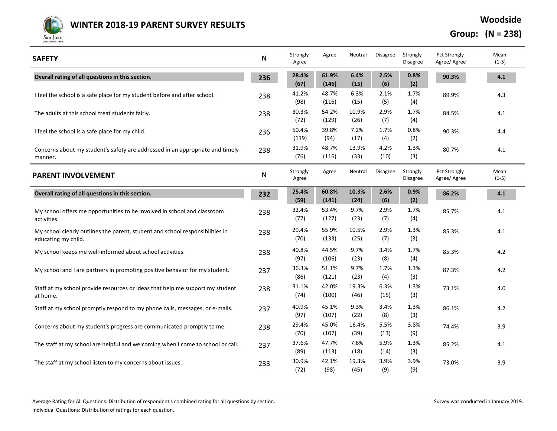

**Woodside**

**Group: (N = 238)**

| <b>SAFETY</b>                                                                                        | N         | Strongly<br>Agree | Agree          | Neutral       | <b>Disagree</b> | Strongly<br><b>Disagree</b> | <b>Pct Strongly</b><br>Agree/ Agree | Mean<br>$(1-5)$ |
|------------------------------------------------------------------------------------------------------|-----------|-------------------|----------------|---------------|-----------------|-----------------------------|-------------------------------------|-----------------|
| Overall rating of all questions in this section.                                                     | 236       | 28.4%<br>(67)     | 61.9%<br>(146) | 6.4%<br>(15)  | 2.5%<br>(6)     | 0.8%<br>(2)                 | 90.3%                               | 4.1             |
| I feel the school is a safe place for my student before and after school.                            | 238       | 41.2%<br>(98)     | 48.7%<br>(116) | 6.3%<br>(15)  | 2.1%<br>(5)     | 1.7%<br>(4)                 | 89.9%                               | 4.3             |
| The adults at this school treat students fairly.                                                     | 238       | 30.3%<br>(72)     | 54.2%<br>(129) | 10.9%<br>(26) | 2.9%<br>(7)     | 1.7%<br>(4)                 | 84.5%                               | 4.1             |
| I feel the school is a safe place for my child.                                                      | 236       | 50.4%<br>(119)    | 39.8%<br>(94)  | 7.2%<br>(17)  | 1.7%<br>(4)     | 0.8%<br>(2)                 | 90.3%                               | 4.4             |
| Concerns about my student's safety are addressed in an appropriate and timely<br>manner.             | 238       | 31.9%<br>(76)     | 48.7%<br>(116) | 13.9%<br>(33) | 4.2%<br>(10)    | 1.3%<br>(3)                 | 80.7%                               | 4.1             |
| <b>PARENT INVOLVEMENT</b>                                                                            | ${\sf N}$ | Strongly<br>Agree | Agree          | Neutral       | Disagree        | Strongly<br><b>Disagree</b> | <b>Pct Strongly</b><br>Agree/ Agree | Mean<br>$(1-5)$ |
| Overall rating of all questions in this section.                                                     | 232       | 25.4%<br>(59)     | 60.8%<br>(141) | 10.3%<br>(24) | 2.6%<br>(6)     | 0.9%<br>(2)                 | 86.2%                               | 4.1             |
| My school offers me opportunities to be involved in school and classroom<br>activities.              | 238       | 32.4%<br>(77)     | 53.4%<br>(127) | 9.7%<br>(23)  | 2.9%<br>(7)     | 1.7%<br>(4)                 | 85.7%                               | 4.1             |
| My school clearly outlines the parent, student and school responsibilities in<br>educating my child. | 238       | 29.4%<br>(70)     | 55.9%<br>(133) | 10.5%<br>(25) | 2.9%<br>(7)     | 1.3%<br>(3)                 | 85.3%                               | 4.1             |
| My school keeps me well-informed about school activities.                                            | 238       | 40.8%<br>(97)     | 44.5%<br>(106) | 9.7%<br>(23)  | 3.4%<br>(8)     | 1.7%<br>(4)                 | 85.3%                               | 4.2             |
| My school and I are partners in promoting positive behavior for my student.                          | 237       | 36.3%<br>(86)     | 51.1%<br>(121) | 9.7%<br>(23)  | 1.7%<br>(4)     | 1.3%<br>(3)                 | 87.3%                               | 4.2             |
| Staff at my school provide resources or ideas that help me support my student<br>at home.            | 238       | 31.1%<br>(74)     | 42.0%<br>(100) | 19.3%<br>(46) | 6.3%<br>(15)    | 1.3%<br>(3)                 | 73.1%                               | 4.0             |
| Staff at my school promptly respond to my phone calls, messages, or e-mails.                         | 237       | 40.9%<br>(97)     | 45.1%<br>(107) | 9.3%<br>(22)  | 3.4%<br>(8)     | 1.3%<br>(3)                 | 86.1%                               | 4.2             |
| Concerns about my student's progress are communicated promptly to me.                                | 238       | 29.4%<br>(70)     | 45.0%<br>(107) | 16.4%<br>(39) | 5.5%<br>(13)    | 3.8%<br>(9)                 | 74.4%                               | 3.9             |
| The staff at my school are helpful and welcoming when I come to school or call.                      | 237       | 37.6%<br>(89)     | 47.7%<br>(113) | 7.6%<br>(18)  | 5.9%<br>(14)    | 1.3%<br>(3)                 | 85.2%                               | 4.1             |
| The staff at my school listen to my concerns about issues.                                           | 233       | 30.9%<br>(72)     | 42.1%<br>(98)  | 19.3%<br>(45) | 3.9%<br>(9)     | 3.9%<br>(9)                 | 73.0%                               | 3.9             |

Average Rating for All Questions: Distribution of respondent's combined rating for all questions by section. Survey was conducted in January 2019.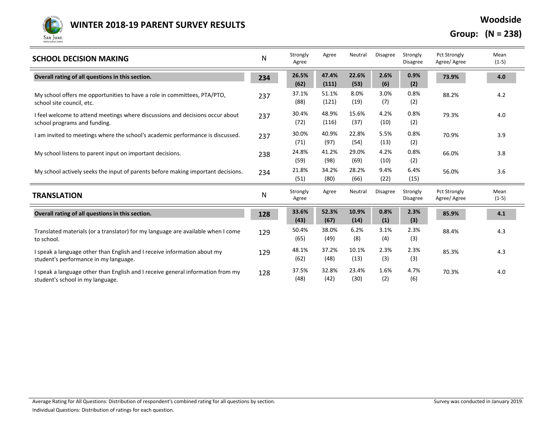

**Woodside**

**Group: (N = 238)**

| <b>SCHOOL DECISION MAKING</b>                                                                                       | N   | Strongly<br>Agree | Agree          | Neutral       | <b>Disagree</b> | Strongly<br><b>Disagree</b> | <b>Pct Strongly</b><br>Agree/Agree | Mean<br>$(1-5)$ |
|---------------------------------------------------------------------------------------------------------------------|-----|-------------------|----------------|---------------|-----------------|-----------------------------|------------------------------------|-----------------|
| Overall rating of all questions in this section.                                                                    | 234 | 26.5%<br>(62)     | 47.4%<br>(111) | 22.6%<br>(53) | 2.6%<br>(6)     | 0.9%<br>(2)                 | 73.9%                              | 4.0             |
| My school offers me opportunities to have a role in committees, PTA/PTO,<br>school site council, etc.               | 237 | 37.1%<br>(88)     | 51.1%<br>(121) | 8.0%<br>(19)  | 3.0%<br>(7)     | 0.8%<br>(2)                 | 88.2%                              | 4.2             |
| I feel welcome to attend meetings where discussions and decisions occur about<br>school programs and funding.       | 237 | 30.4%<br>(72)     | 48.9%<br>(116) | 15.6%<br>(37) | 4.2%<br>(10)    | 0.8%<br>(2)                 | 79.3%                              | 4.0             |
| I am invited to meetings where the school's academic performance is discussed.                                      | 237 | 30.0%<br>(71)     | 40.9%<br>(97)  | 22.8%<br>(54) | 5.5%<br>(13)    | 0.8%<br>(2)                 | 70.9%                              | 3.9             |
| My school listens to parent input on important decisions.                                                           | 238 | 24.8%<br>(59)     | 41.2%<br>(98)  | 29.0%<br>(69) | 4.2%<br>(10)    | 0.8%<br>(2)                 | 66.0%                              | 3.8             |
| My school actively seeks the input of parents before making important decisions.                                    | 234 | 21.8%<br>(51)     | 34.2%<br>(80)  | 28.2%<br>(66) | 9.4%<br>(22)    | 6.4%<br>(15)                | 56.0%                              | 3.6             |
| <b>TRANSLATION</b>                                                                                                  | N   | Strongly<br>Agree | Agree          | Neutral       | <b>Disagree</b> | Strongly<br><b>Disagree</b> | <b>Pct Strongly</b><br>Agree/Agree | Mean<br>$(1-5)$ |
| Overall rating of all questions in this section.                                                                    | 128 | 33.6%<br>(43)     | 52.3%<br>(67)  | 10.9%<br>(14) | 0.8%<br>(1)     | 2.3%<br>(3)                 | 85.9%                              | 4.1             |
| Translated materials (or a translator) for my language are available when I come<br>to school.                      | 129 | 50.4%<br>(65)     | 38.0%<br>(49)  | 6.2%<br>(8)   | 3.1%<br>(4)     | 2.3%<br>(3)                 | 88.4%                              | 4.3             |
| I speak a language other than English and I receive information about my<br>student's performance in my language.   | 129 | 48.1%<br>(62)     | 37.2%<br>(48)  | 10.1%<br>(13) | 2.3%<br>(3)     | 2.3%<br>(3)                 | 85.3%                              | 4.3             |
| I speak a language other than English and I receive general information from my<br>student's school in my language. | 128 | 37.5%<br>(48)     | 32.8%<br>(42)  | 23.4%<br>(30) | 1.6%<br>(2)     | 4.7%<br>(6)                 | 70.3%                              | 4.0             |